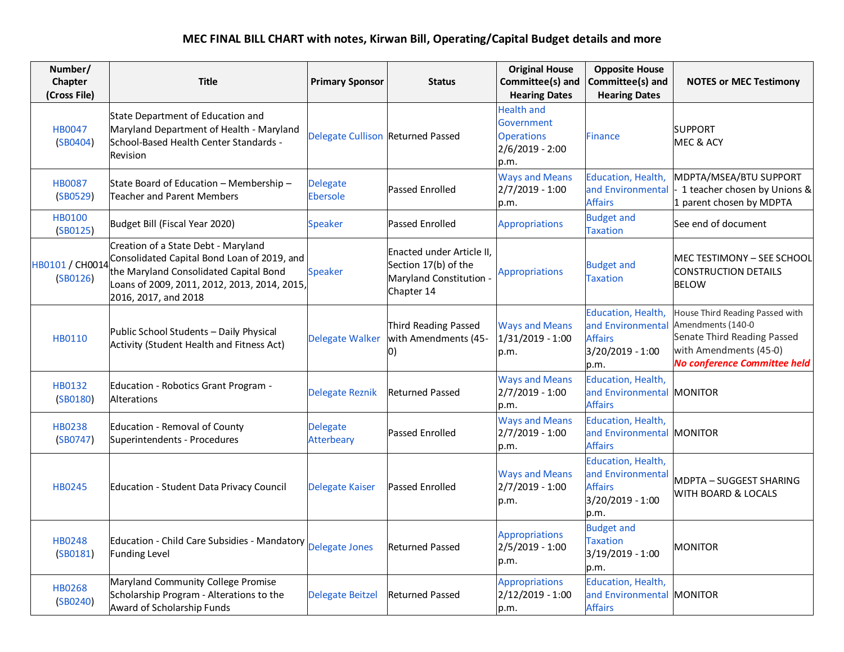## **MEC FINAL BILL CHART with notes, Kirwan Bill, Operating/Capital Budget details and more**

| Number/<br>Chapter<br>(Cross File) | <b>Title</b>                                                                                                                                                                                         | <b>Primary Sponsor</b>            | <b>Status</b>                                                                              | <b>Original House</b><br>Committee(s) and<br><b>Hearing Dates</b>                 | <b>Opposite House</b><br>Committee(s) and<br><b>Hearing Dates</b>                     | <b>NOTES or MEC Testimony</b>                                                                                                                 |
|------------------------------------|------------------------------------------------------------------------------------------------------------------------------------------------------------------------------------------------------|-----------------------------------|--------------------------------------------------------------------------------------------|-----------------------------------------------------------------------------------|---------------------------------------------------------------------------------------|-----------------------------------------------------------------------------------------------------------------------------------------------|
| <b>HB0047</b><br>(SB0404)          | State Department of Education and<br>Maryland Department of Health - Maryland<br>School-Based Health Center Standards -<br>Revision                                                                  | Delegate Cullison Returned Passed |                                                                                            | <b>Health and</b><br>Government<br><b>Operations</b><br>$2/6/2019 - 2:00$<br>p.m. | <b>Finance</b>                                                                        | <b>SUPPORT</b><br>MEC & ACY                                                                                                                   |
| <b>HB0087</b><br>(SB0529)          | State Board of Education - Membership -<br><b>Teacher and Parent Members</b>                                                                                                                         | <b>Delegate</b><br>Ebersole       | <b>Passed Enrolled</b>                                                                     | <b>Ways and Means</b><br>$2/7/2019 - 1:00$<br>p.m.                                | Education, Health,<br>and Environmental<br><b>Affairs</b>                             | MDPTA/MSEA/BTU SUPPORT<br>1 teacher chosen by Unions &<br>1 parent chosen by MDPTA                                                            |
| <b>HB0100</b><br>(SB0125)          | Budget Bill (Fiscal Year 2020)                                                                                                                                                                       | <b>Speaker</b>                    | <b>Passed Enrolled</b>                                                                     | <b>Appropriations</b>                                                             | <b>Budget and</b><br><b>Taxation</b>                                                  | See end of document                                                                                                                           |
| HB0101 / CH0014<br>(SB0126)        | Creation of a State Debt - Maryland<br>Consolidated Capital Bond Loan of 2019, and<br>the Maryland Consolidated Capital Bond<br>Loans of 2009, 2011, 2012, 2013, 2014, 2015,<br>2016, 2017, and 2018 | <b>Speaker</b>                    | Enacted under Article II,<br>Section 17(b) of the<br>Maryland Constitution -<br>Chapter 14 | Appropriations                                                                    | <b>Budget and</b><br><b>Taxation</b>                                                  | MEC TESTIMONY - SEE SCHOOL<br><b>CONSTRUCTION DETAILS</b><br><b>BELOW</b>                                                                     |
| HB0110                             | Public School Students - Daily Physical<br>Activity (Student Health and Fitness Act)                                                                                                                 | <b>Delegate Walker</b>            | Third Reading Passed<br>with Amendments (45-<br>10)                                        | <b>Ways and Means</b><br>1/31/2019 - 1:00<br>p.m.                                 | Education, Health,<br>and Environmental<br><b>Affairs</b><br>3/20/2019 - 1:00<br>p.m. | House Third Reading Passed with<br>Amendments (140-0<br>Senate Third Reading Passed<br>with Amendments (45-0)<br>No conference Committee held |
| HB0132<br>(SB0180)                 | Education - Robotics Grant Program -<br>Alterations                                                                                                                                                  | <b>Delegate Reznik</b>            | <b>Returned Passed</b>                                                                     | <b>Ways and Means</b><br>2/7/2019 - 1:00<br>p.m.                                  | Education, Health,<br>and Environmental<br><b>Affairs</b>                             | MONITOR                                                                                                                                       |
| HB0238<br>(SB0747)                 | <b>Education - Removal of County</b><br>Superintendents - Procedures                                                                                                                                 | <b>Delegate</b><br>Atterbeary     | <b>Passed Enrolled</b>                                                                     | <b>Ways and Means</b><br>$2/7/2019 - 1:00$<br>p.m.                                | Education, Health,<br>and Environmental<br><b>Affairs</b>                             | <b>MONITOR</b>                                                                                                                                |
| <b>HB0245</b>                      | <b>Education - Student Data Privacy Council</b>                                                                                                                                                      | <b>Delegate Kaiser</b>            | Passed Enrolled                                                                            | <b>Ways and Means</b><br>$2/7/2019 - 1:00$<br>p.m.                                | Education, Health,<br>and Environmental<br><b>Affairs</b><br>3/20/2019 - 1:00<br>p.m. | <b>MDPTA - SUGGEST SHARING</b><br><b>WITH BOARD &amp; LOCALS</b>                                                                              |
| <b>HB0248</b><br>(SB0181)          | Education - Child Care Subsidies - Mandatory<br><b>Funding Level</b>                                                                                                                                 | <b>Delegate Jones</b>             | <b>Returned Passed</b>                                                                     | <b>Appropriations</b><br>$2/5/2019 - 1:00$<br>p.m.                                | <b>Budget and</b><br><b>Taxation</b><br>3/19/2019 - 1:00<br>p.m.                      | <b>MONITOR</b>                                                                                                                                |
| <b>HB0268</b><br>(SB0240)          | Maryland Community College Promise<br>Scholarship Program - Alterations to the<br>Award of Scholarship Funds                                                                                         | <b>Delegate Beitzel</b>           | <b>Returned Passed</b>                                                                     | <b>Appropriations</b><br>2/12/2019 - 1:00<br>p.m.                                 | Education, Health,<br>and Environmental<br><b>Affairs</b>                             | <b>MONITOR</b>                                                                                                                                |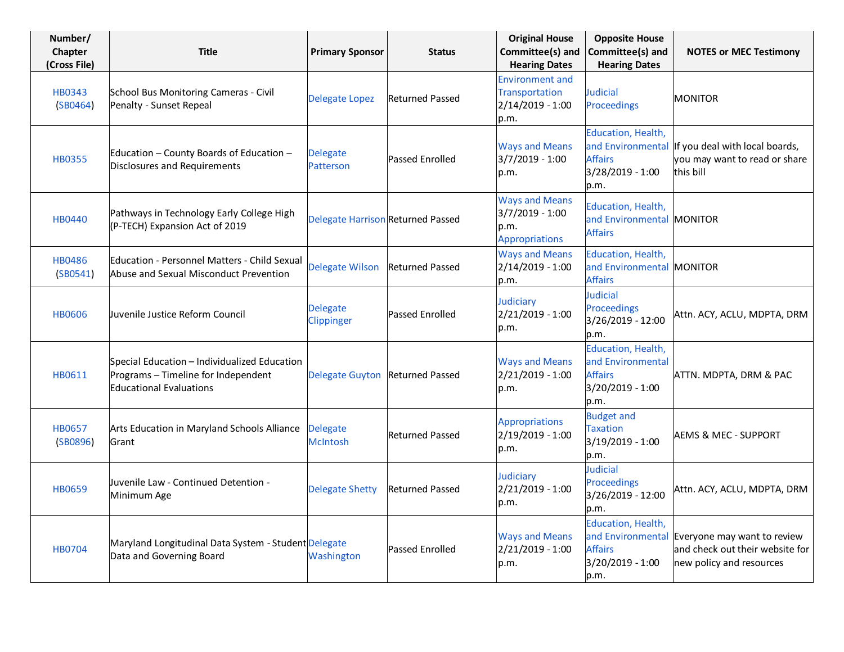| Number/<br>Chapter<br>(Cross File) | <b>Title</b>                                                                                                          | <b>Primary Sponsor</b>                   | <b>Status</b>          | <b>Original House</b><br>Committee(s) and<br><b>Hearing Dates</b>           | <b>Opposite House</b><br>Committee(s) and<br><b>Hearing Dates</b>                     | <b>NOTES or MEC Testimony</b>                                                                  |
|------------------------------------|-----------------------------------------------------------------------------------------------------------------------|------------------------------------------|------------------------|-----------------------------------------------------------------------------|---------------------------------------------------------------------------------------|------------------------------------------------------------------------------------------------|
| HB0343<br>(SB0464)                 | School Bus Monitoring Cameras - Civil<br>Penalty - Sunset Repeal                                                      | <b>Delegate Lopez</b>                    | <b>Returned Passed</b> | <b>Environment and</b><br>Transportation<br>2/14/2019 - 1:00<br>p.m.        | <b>Judicial</b><br>Proceedings                                                        | <b>MONITOR</b>                                                                                 |
| <b>HB0355</b>                      | Education - County Boards of Education -<br><b>Disclosures and Requirements</b>                                       | <b>Delegate</b><br><b>Patterson</b>      | <b>Passed Enrolled</b> | <b>Ways and Means</b><br>$3/7/2019 - 1:00$<br>p.m.                          | Education, Health,<br><b>Affairs</b><br>3/28/2019 - 1:00<br>p.m.                      | and Environmental If you deal with local boards,<br>you may want to read or share<br>this bill |
| <b>HB0440</b>                      | Pathways in Technology Early College High<br>(P-TECH) Expansion Act of 2019                                           | <b>Delegate Harrison Returned Passed</b> |                        | <b>Ways and Means</b><br>$3/7/2019 - 1:00$<br>p.m.<br><b>Appropriations</b> | Education, Health,<br>and Environmental MONITOR<br><b>Affairs</b>                     |                                                                                                |
| <b>HB0486</b><br>(SB0541)          | <b>Education - Personnel Matters - Child Sexual</b><br>Abuse and Sexual Misconduct Prevention                         | <b>Delegate Wilson</b>                   | <b>Returned Passed</b> | <b>Ways and Means</b><br>2/14/2019 - 1:00<br>p.m.                           | Education, Health,<br>and Environmental MONITOR<br><b>Affairs</b>                     |                                                                                                |
| <b>HB0606</b>                      | Juvenile Justice Reform Council                                                                                       | <b>Delegate</b><br>Clippinger            | <b>Passed Enrolled</b> | Judiciary<br>$2/21/2019 - 1:00$<br>p.m.                                     | Judicial<br><b>Proceedings</b><br>3/26/2019 - 12:00<br>p.m.                           | Attn. ACY, ACLU, MDPTA, DRM                                                                    |
| HB0611                             | Special Education - Individualized Education<br>Programs - Timeline for Independent<br><b>Educational Evaluations</b> | <b>Delegate Guyton</b>                   | <b>Returned Passed</b> | <b>Ways and Means</b><br>2/21/2019 - 1:00<br>p.m.                           | Education, Health,<br>and Environmental<br><b>Affairs</b><br>3/20/2019 - 1:00<br>p.m. | ATTN. MDPTA, DRM & PAC                                                                         |
| <b>HB0657</b><br>(SB0896)          | Arts Education in Maryland Schools Alliance<br>Grant                                                                  | Delegate<br><b>McIntosh</b>              | <b>Returned Passed</b> | <b>Appropriations</b><br>2/19/2019 - 1:00<br>p.m.                           | <b>Budget and</b><br><b>Taxation</b><br>3/19/2019 - 1:00<br>p.m.                      | <b>AEMS &amp; MEC - SUPPORT</b>                                                                |
| <b>HB0659</b>                      | Juvenile Law - Continued Detention -<br>Minimum Age                                                                   | <b>Delegate Shetty</b>                   | <b>Returned Passed</b> | Judiciary<br>2/21/2019 - 1:00<br>p.m.                                       | Judicial<br><b>Proceedings</b><br>3/26/2019 - 12:00<br>p.m.                           | Attn. ACY, ACLU, MDPTA, DRM                                                                    |
| <b>HB0704</b>                      | Maryland Longitudinal Data System - Student Delegate<br>Data and Governing Board                                      | Washington                               | <b>Passed Enrolled</b> | <b>Ways and Means</b><br>$2/21/2019 - 1:00$<br>p.m.                         | Education, Health,<br>and Environmental<br><b>Affairs</b><br>3/20/2019 - 1:00<br>p.m. | Everyone may want to review<br>and check out their website for<br>new policy and resources     |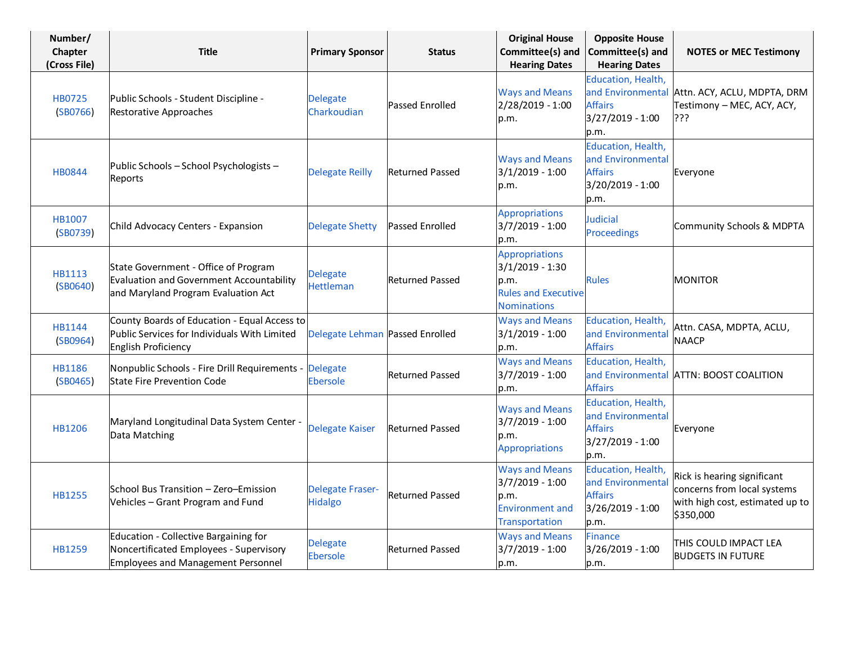| Number/<br>Chapter<br>(Cross File) | <b>Title</b>                                                                                                                  | <b>Primary Sponsor</b>              | <b>Status</b>          | <b>Original House</b><br>Committee(s) and<br><b>Hearing Dates</b>                                      | <b>Opposite House</b><br>Committee(s) and<br><b>Hearing Dates</b>                     | <b>NOTES or MEC Testimony</b>                                                                              |
|------------------------------------|-------------------------------------------------------------------------------------------------------------------------------|-------------------------------------|------------------------|--------------------------------------------------------------------------------------------------------|---------------------------------------------------------------------------------------|------------------------------------------------------------------------------------------------------------|
| HB0725<br>(SB0766)                 | Public Schools - Student Discipline -<br>Restorative Approaches                                                               | <b>Delegate</b><br>Charkoudian      | <b>Passed Enrolled</b> | <b>Ways and Means</b><br>2/28/2019 - 1:00<br>p.m.                                                      | Education, Health,<br>and Environmental<br><b>Affairs</b><br>3/27/2019 - 1:00<br>p.m. | Attn. ACY, ACLU, MDPTA, DRM<br>Testimony - MEC, ACY, ACY,<br>???                                           |
| <b>HB0844</b>                      | Public Schools - School Psychologists -<br>Reports                                                                            | <b>Delegate Reilly</b>              | <b>Returned Passed</b> | <b>Ways and Means</b><br>$3/1/2019 - 1:00$<br>p.m.                                                     | Education, Health,<br>and Environmental<br><b>Affairs</b><br>3/20/2019 - 1:00<br>p.m. | Everyone                                                                                                   |
| HB1007<br>(SB0739)                 | Child Advocacy Centers - Expansion                                                                                            | <b>Delegate Shetty</b>              | <b>Passed Enrolled</b> | <b>Appropriations</b><br>3/7/2019 - 1:00<br>p.m.                                                       | Judicial<br>Proceedings                                                               | Community Schools & MDPTA                                                                                  |
| HB1113<br>(SB0640)                 | State Government - Office of Program<br>Evaluation and Government Accountability<br>and Maryland Program Evaluation Act       | <b>Delegate</b><br><b>Hettleman</b> | <b>Returned Passed</b> | <b>Appropriations</b><br>$3/1/2019 - 1:30$<br>p.m.<br><b>Rules and Executive</b><br><b>Nominations</b> | <b>Rules</b>                                                                          | <b>MONITOR</b>                                                                                             |
| HB1144<br>(SB0964)                 | County Boards of Education - Equal Access to<br>Public Services for Individuals With Limited<br>English Proficiency           | Delegate Lehman Passed Enrolled     |                        | <b>Ways and Means</b><br>$3/1/2019 - 1:00$<br>p.m.                                                     | Education, Health,<br>and Environmental<br><b>Affairs</b>                             | Attn. CASA, MDPTA, ACLU,<br><b>NAACP</b>                                                                   |
| <b>HB1186</b><br>(SB0465)          | Nonpublic Schools - Fire Drill Requirements -<br><b>State Fire Prevention Code</b>                                            | <b>Delegate</b><br><b>Ebersole</b>  | <b>Returned Passed</b> | <b>Ways and Means</b><br>$3/7/2019 - 1:00$<br>p.m.                                                     | Education, Health,<br>and Environmental<br><b>Affairs</b>                             | <b>ATTN: BOOST COALITION</b>                                                                               |
| HB1206                             | Maryland Longitudinal Data System Center -<br>Data Matching                                                                   | <b>Delegate Kaiser</b>              | <b>Returned Passed</b> | <b>Ways and Means</b><br>$3/7/2019 - 1:00$<br>p.m.<br><b>Appropriations</b>                            | Education, Health,<br>and Environmental<br><b>Affairs</b><br>3/27/2019 - 1:00<br>p.m. | Everyone                                                                                                   |
| <b>HB1255</b>                      | School Bus Transition - Zero-Emission<br>Vehicles - Grant Program and Fund                                                    | <b>Delegate Fraser-</b><br>Hidalgo  | <b>Returned Passed</b> | <b>Ways and Means</b><br>$3/7/2019 - 1:00$<br>p.m.<br><b>Environment and</b><br><b>Transportation</b>  | Education, Health,<br>and Environmental<br><b>Affairs</b><br>3/26/2019 - 1:00<br>p.m. | Rick is hearing significant<br>concerns from local systems<br>with high cost, estimated up to<br>\$350,000 |
| <b>HB1259</b>                      | Education - Collective Bargaining for<br>Noncertificated Employees - Supervisory<br><b>Employees and Management Personnel</b> | <b>Delegate</b><br><b>Ebersole</b>  | <b>Returned Passed</b> | <b>Ways and Means</b><br>$3/7/2019 - 1:00$<br>p.m.                                                     | <b>Finance</b><br>3/26/2019 - 1:00<br>p.m.                                            | THIS COULD IMPACT LEA<br><b>BUDGETS IN FUTURE</b>                                                          |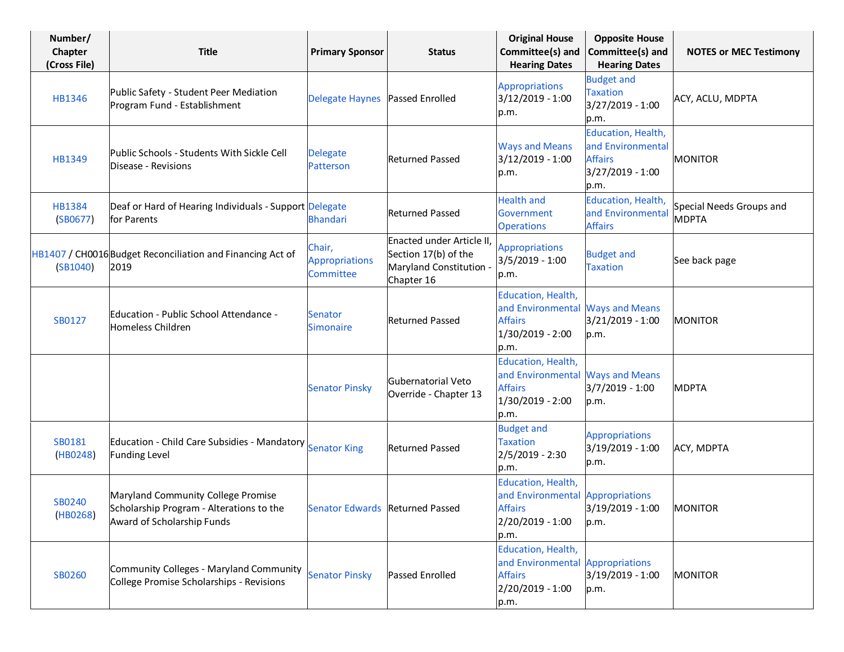| Number/<br>Chapter<br>(Cross File) | <b>Title</b>                                                                                                 | <b>Primary Sponsor</b>                       | <b>Status</b>                                                                              | <b>Original House</b><br>Committee(s) and<br><b>Hearing Dates</b>                                    | <b>Opposite House</b><br>Committee(s) and<br><b>Hearing Dates</b>                     | <b>NOTES or MEC Testimony</b>            |
|------------------------------------|--------------------------------------------------------------------------------------------------------------|----------------------------------------------|--------------------------------------------------------------------------------------------|------------------------------------------------------------------------------------------------------|---------------------------------------------------------------------------------------|------------------------------------------|
| HB1346                             | Public Safety - Student Peer Mediation<br>Program Fund - Establishment                                       | <b>Delegate Haynes</b>                       | Passed Enrolled                                                                            | <b>Appropriations</b><br>3/12/2019 - 1:00<br>p.m.                                                    | <b>Budget and</b><br><b>Taxation</b><br>3/27/2019 - 1:00<br>p.m.                      | ACY, ACLU, MDPTA                         |
| HB1349                             | Public Schools - Students With Sickle Cell<br>Disease - Revisions                                            | <b>Delegate</b><br>Patterson                 | <b>Returned Passed</b>                                                                     | <b>Ways and Means</b><br>$3/12/2019 - 1:00$<br>p.m.                                                  | Education, Health,<br>and Environmental<br><b>Affairs</b><br>3/27/2019 - 1:00<br>p.m. | <b>MONITOR</b>                           |
| HB1384<br>(SB0677)                 | Deaf or Hard of Hearing Individuals - Support Delegate<br>for Parents                                        | <b>Bhandari</b>                              | <b>Returned Passed</b>                                                                     | <b>Health and</b><br>Government<br><b>Operations</b>                                                 | Education, Health,<br>and Environmental<br><b>Affairs</b>                             | Special Needs Groups and<br><b>MDPTA</b> |
| (SB1040)                           | HB1407 / CH0016 Budget Reconciliation and Financing Act of<br>2019                                           | Chair,<br><b>Appropriations</b><br>Committee | Enacted under Article II,<br>Section 17(b) of the<br>Maryland Constitution -<br>Chapter 16 | <b>Appropriations</b><br>$3/5/2019 - 1:00$<br>p.m.                                                   | <b>Budget and</b><br><b>Taxation</b>                                                  | See back page                            |
| SB0127                             | Education - Public School Attendance -<br>Homeless Children                                                  | <b>Senator</b><br><b>Simonaire</b>           | <b>Returned Passed</b>                                                                     | Education, Health,<br>and Environmental Ways and Means<br><b>Affairs</b><br>1/30/2019 - 2:00<br>p.m. | 3/21/2019 - 1:00<br>p.m.                                                              | <b>MONITOR</b>                           |
|                                    |                                                                                                              | <b>Senator Pinsky</b>                        | Gubernatorial Veto<br>Override - Chapter 13                                                | Education, Health,<br>and Environmental Ways and Means<br><b>Affairs</b><br>1/30/2019 - 2:00<br>p.m. | 3/7/2019 - 1:00<br>p.m.                                                               | <b>MDPTA</b>                             |
| SB0181<br>(HB0248)                 | Education - Child Care Subsidies - Mandatory Senator King<br><b>Funding Level</b>                            |                                              | <b>Returned Passed</b>                                                                     | <b>Budget and</b><br><b>Taxation</b><br>$2/5/2019 - 2:30$<br>p.m.                                    | <b>Appropriations</b><br>3/19/2019 - 1:00<br>p.m.                                     | ACY, MDPTA                               |
| SB0240<br>(HB0268)                 | Maryland Community College Promise<br>Scholarship Program - Alterations to the<br>Award of Scholarship Funds | Senator Edwards Returned Passed              |                                                                                            | Education, Health,<br>and Environmental Appropriations<br><b>Affairs</b><br>2/20/2019 - 1:00<br>p.m. | 3/19/2019 - 1:00<br>p.m.                                                              | <b>MONITOR</b>                           |
| SB0260                             | Community Colleges - Maryland Community<br>College Promise Scholarships - Revisions                          | <b>Senator Pinsky</b>                        | <b>Passed Enrolled</b>                                                                     | Education, Health,<br>and Environmental Appropriations<br><b>Affairs</b><br>2/20/2019 - 1:00<br>p.m. | 3/19/2019 - 1:00<br>p.m.                                                              | <b>MONITOR</b>                           |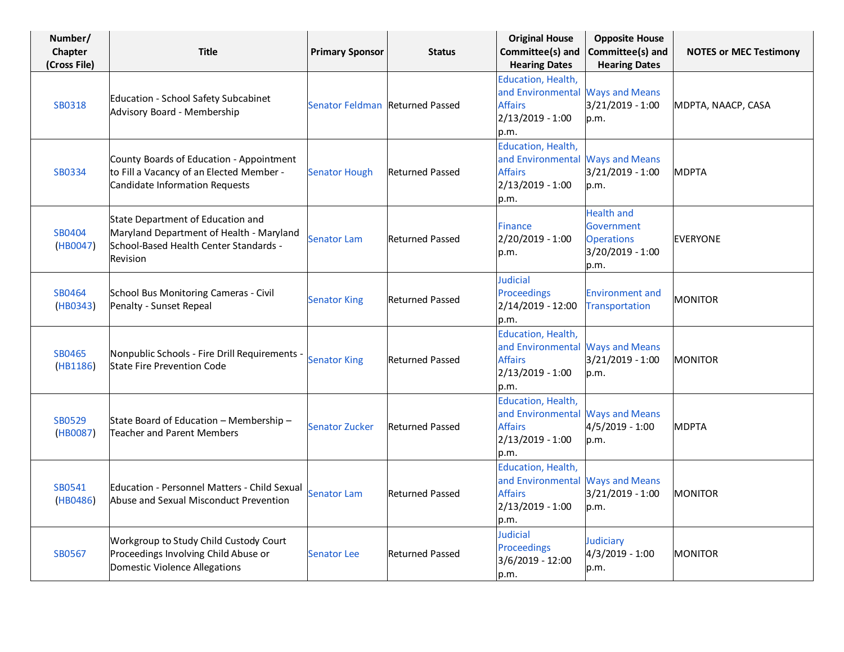| Number/<br>Chapter<br>(Cross File) | <b>Title</b>                                                                                                                        | <b>Primary Sponsor</b>          | <b>Status</b>          | <b>Original House</b><br>Committee(s) and<br><b>Hearing Dates</b>                                      | <b>Opposite House</b><br>Committee(s) and<br><b>Hearing Dates</b>                | <b>NOTES or MEC Testimony</b> |
|------------------------------------|-------------------------------------------------------------------------------------------------------------------------------------|---------------------------------|------------------------|--------------------------------------------------------------------------------------------------------|----------------------------------------------------------------------------------|-------------------------------|
| SB0318                             | Education - School Safety Subcabinet<br>Advisory Board - Membership                                                                 | Senator Feldman Returned Passed |                        | Education, Health,<br>and Environmental Ways and Means<br><b>Affairs</b><br>2/13/2019 - 1:00<br>p.m.   | 3/21/2019 - 1:00<br>p.m.                                                         | MDPTA, NAACP, CASA            |
| SB0334                             | County Boards of Education - Appointment<br>to Fill a Vacancy of an Elected Member -<br>Candidate Information Requests              | <b>Senator Hough</b>            | <b>Returned Passed</b> | Education, Health,<br>and Environmental Ways and Means<br><b>Affairs</b><br>2/13/2019 - 1:00<br>p.m.   | 3/21/2019 - 1:00<br>p.m.                                                         | <b>MDPTA</b>                  |
| SB0404<br>(HB0047)                 | State Department of Education and<br>Maryland Department of Health - Maryland<br>School-Based Health Center Standards -<br>Revision | <b>Senator Lam</b>              | <b>Returned Passed</b> | <b>Finance</b><br>2/20/2019 - 1:00<br>p.m.                                                             | <b>Health and</b><br>Government<br><b>Operations</b><br>3/20/2019 - 1:00<br>p.m. | <b>EVERYONE</b>               |
| SB0464<br>(HB0343)                 | School Bus Monitoring Cameras - Civil<br>Penalty - Sunset Repeal                                                                    | <b>Senator King</b>             | <b>Returned Passed</b> | Judicial<br>Proceedings<br>2/14/2019 - 12:00<br>p.m.                                                   | <b>Environment and</b><br>Transportation                                         | <b>MONITOR</b>                |
| SB0465<br>(HB1186)                 | Nonpublic Schools - Fire Drill Requirements -<br><b>State Fire Prevention Code</b>                                                  | <b>Senator King</b>             | <b>Returned Passed</b> | Education, Health,<br>and Environmental Ways and Means<br><b>Affairs</b><br>$2/13/2019 - 1:00$<br>p.m. | 3/21/2019 - 1:00<br>p.m.                                                         | <b>MONITOR</b>                |
| SB0529<br>(HB0087)                 | State Board of Education - Membership -<br><b>Teacher and Parent Members</b>                                                        | <b>Senator Zucker</b>           | <b>Returned Passed</b> | Education, Health,<br>and Environmental Ways and Means<br><b>Affairs</b><br>2/13/2019 - 1:00<br>p.m.   | 4/5/2019 - 1:00<br>p.m.                                                          | <b>MDPTA</b>                  |
| SB0541<br>(HB0486)                 | Education - Personnel Matters - Child Sexual<br>Abuse and Sexual Misconduct Prevention                                              | <b>Senator Lam</b>              | <b>Returned Passed</b> | Education, Health,<br>and Environmental Ways and Means<br><b>Affairs</b><br>2/13/2019 - 1:00<br>p.m.   | 3/21/2019 - 1:00<br>p.m.                                                         | <b>MONITOR</b>                |
| SB0567                             | Workgroup to Study Child Custody Court<br>Proceedings Involving Child Abuse or<br>Domestic Violence Allegations                     | <b>Senator Lee</b>              | <b>Returned Passed</b> | Judicial<br>Proceedings<br>3/6/2019 - 12:00<br>p.m.                                                    | Judiciary<br>4/3/2019 - 1:00<br>p.m.                                             | <b>MONITOR</b>                |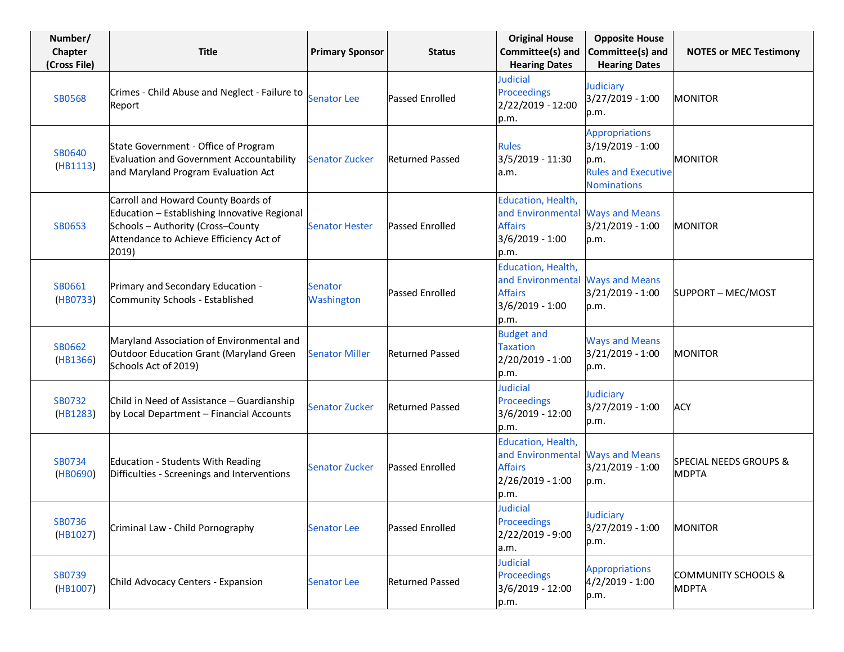| Number/<br>Chapter<br>(Cross File) | <b>Title</b>                                                                                                                                                                 | <b>Primary Sponsor</b> | <b>Status</b>          | <b>Original House</b><br>Committee(s) and<br><b>Hearing Dates</b>                                    | <b>Opposite House</b><br>Committee(s) and<br><b>Hearing Dates</b>                                     | <b>NOTES or MEC Testimony</b>                     |
|------------------------------------|------------------------------------------------------------------------------------------------------------------------------------------------------------------------------|------------------------|------------------------|------------------------------------------------------------------------------------------------------|-------------------------------------------------------------------------------------------------------|---------------------------------------------------|
| <b>SB0568</b>                      | Crimes - Child Abuse and Neglect - Failure to<br>Report                                                                                                                      | <b>Senator Lee</b>     | <b>Passed Enrolled</b> | <b>Judicial</b><br>Proceedings<br>2/22/2019 - 12:00<br>p.m.                                          | Judiciary<br>3/27/2019 - 1:00<br>p.m.                                                                 | <b>MONITOR</b>                                    |
| <b>SB0640</b><br>(HB1113)          | State Government - Office of Program<br>Evaluation and Government Accountability<br>and Maryland Program Evaluation Act                                                      | <b>Senator Zucker</b>  | <b>Returned Passed</b> | <b>Rules</b><br>3/5/2019 - 11:30<br>a.m.                                                             | <b>Appropriations</b><br>3/19/2019 - 1:00<br>p.m.<br><b>Rules and Executive</b><br><b>Nominations</b> | <b>MONITOR</b>                                    |
| SB0653                             | Carroll and Howard County Boards of<br>Education - Establishing Innovative Regional<br>Schools - Authority (Cross-County<br>Attendance to Achieve Efficiency Act of<br>2019) | <b>Senator Hester</b>  | Passed Enrolled        | Education, Health,<br>and Environmental Ways and Means<br><b>Affairs</b><br>3/6/2019 - 1:00<br>p.m.  | 3/21/2019 - 1:00<br>p.m.                                                                              | <b>MONITOR</b>                                    |
| SB0661<br>(HB0733)                 | Primary and Secondary Education -<br>Community Schools - Established                                                                                                         | Senator<br>Washington  | <b>Passed Enrolled</b> | Education, Health,<br>and Environmental Ways and Means<br><b>Affairs</b><br>3/6/2019 - 1:00<br>p.m.  | 3/21/2019 - 1:00<br>p.m.                                                                              | SUPPORT - MEC/MOST                                |
| SB0662<br>(HB1366)                 | Maryland Association of Environmental and<br>Outdoor Education Grant (Maryland Green<br>Schools Act of 2019)                                                                 | <b>Senator Miller</b>  | <b>Returned Passed</b> | <b>Budget and</b><br><b>Taxation</b><br>2/20/2019 - 1:00<br>p.m.                                     | <b>Ways and Means</b><br>3/21/2019 - 1:00<br>p.m.                                                     | <b>MONITOR</b>                                    |
| SB0732<br>(HB1283)                 | Child in Need of Assistance - Guardianship<br>by Local Department - Financial Accounts                                                                                       | <b>Senator Zucker</b>  | <b>Returned Passed</b> | <b>Judicial</b><br>Proceedings<br>3/6/2019 - 12:00<br>p.m.                                           | Judiciary<br>3/27/2019 - 1:00<br>p.m.                                                                 | <b>ACY</b>                                        |
| SB0734<br>(HB0690)                 | Education - Students With Reading<br>Difficulties - Screenings and Interventions                                                                                             | <b>Senator Zucker</b>  | <b>Passed Enrolled</b> | Education, Health,<br>and Environmental Ways and Means<br><b>Affairs</b><br>2/26/2019 - 1:00<br>p.m. | 3/21/2019 - 1:00<br>p.m.                                                                              | <b>SPECIAL NEEDS GROUPS &amp;</b><br><b>MDPTA</b> |
| <b>SB0736</b><br>(HB1027)          | Criminal Law - Child Pornography                                                                                                                                             | <b>Senator Lee</b>     | <b>Passed Enrolled</b> | Judicial<br><b>Proceedings</b><br>2/22/2019 - 9:00<br>a.m.                                           | Judiciary<br>3/27/2019 - 1:00<br>p.m.                                                                 | <b>MONITOR</b>                                    |
| SB0739<br>(HB1007)                 | Child Advocacy Centers - Expansion                                                                                                                                           | <b>Senator Lee</b>     | <b>Returned Passed</b> | <b>Judicial</b><br>Proceedings<br>3/6/2019 - 12:00<br>p.m.                                           | <b>Appropriations</b><br>$4/2/2019 - 1:00$<br>p.m.                                                    | <b>COMMUNITY SCHOOLS &amp;</b><br><b>MDPTA</b>    |